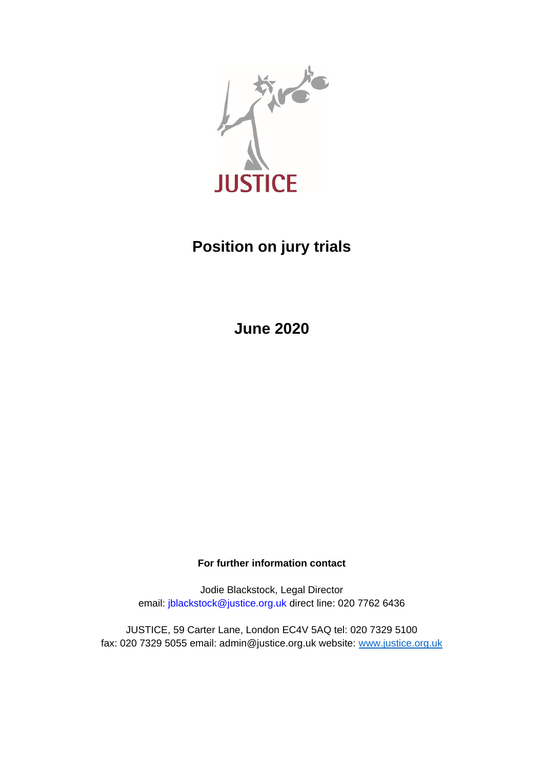

# **Position on jury trials**

**June 2020**

**For further information contact**

Jodie Blackstock, Legal Director email: jblackstock@justice.org.uk direct line: 020 7762 6436

JUSTICE, 59 Carter Lane, London EC4V 5AQ tel: 020 7329 5100 fax: 020 7329 5055 email: admin@justice.org.uk website: [www.justice.org.uk](http://www.justice.org.uk/)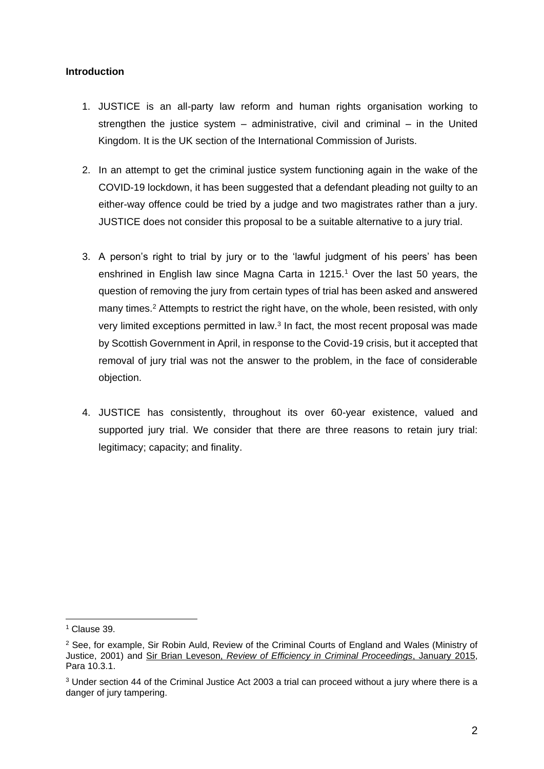#### **Introduction**

- 1. JUSTICE is an all-party law reform and human rights organisation working to strengthen the justice system – administrative, civil and criminal – in the United Kingdom. It is the UK section of the International Commission of Jurists.
- 2. In an attempt to get the criminal justice system functioning again in the wake of the COVID-19 lockdown, it has been suggested that a defendant pleading not guilty to an either-way offence could be tried by a judge and two magistrates rather than a jury. JUSTICE does not consider this proposal to be a suitable alternative to a jury trial.
- 3. A person's right to trial by jury or to the 'lawful judgment of his peers' has been enshrined in English law since Magna Carta in 1215.<sup>1</sup> Over the last 50 years, the question of removing the jury from certain types of trial has been asked and answered many times.<sup>2</sup> Attempts to restrict the right have, on the whole, been resisted, with only very limited exceptions permitted in law.<sup>3</sup> In fact, the most recent proposal was made by Scottish Government in April, in response to the Covid-19 crisis, but it accepted that removal of jury trial was not the answer to the problem, in the face of considerable objection.
- 4. JUSTICE has consistently, throughout its over 60-year existence, valued and supported jury trial. We consider that there are three reasons to retain jury trial: legitimacy; capacity; and finality.

<sup>&</sup>lt;sup>1</sup> Clause 39.

<sup>&</sup>lt;sup>2</sup> See, for example, Sir Robin Auld, Review of the Criminal Courts of England and Wales (Ministry of Justice, 2001) and Sir Brian Leveson, *[Review of Efficiency in Criminal Proceedings](https://www.judiciary.uk/wp-content/uploads/2015/01/review-of-efficiency-in-criminal-proceedings-20151.pdf)*, January 2015, Para 10.3.1.

<sup>&</sup>lt;sup>3</sup> Under section 44 of the Criminal Justice Act 2003 a trial can proceed without a jury where there is a danger of jury tampering.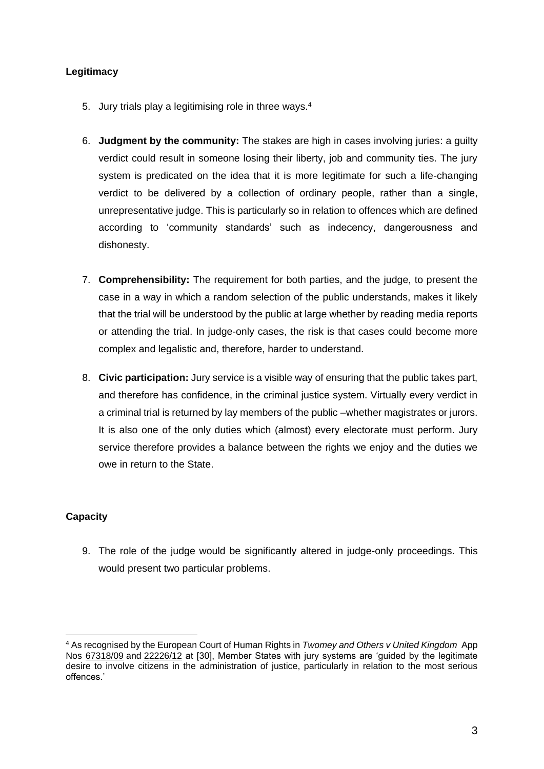# **Legitimacy**

- 5. Jury trials play a legitimising role in three ways.<sup>4</sup>
- 6. **Judgment by the community:** The stakes are high in cases involving juries: a guilty verdict could result in someone losing their liberty, job and community ties. The jury system is predicated on the idea that it is more legitimate for such a life-changing verdict to be delivered by a collection of ordinary people, rather than a single, unrepresentative judge. This is particularly so in relation to offences which are defined according to 'community standards' such as indecency, dangerousness and dishonesty.
- 7. **Comprehensibility:** The requirement for both parties, and the judge, to present the case in a way in which a random selection of the public understands, makes it likely that the trial will be understood by the public at large whether by reading media reports or attending the trial. In judge-only cases, the risk is that cases could become more complex and legalistic and, therefore, harder to understand.
- 8. **Civic participation:** Jury service is a visible way of ensuring that the public takes part, and therefore has confidence, in the criminal justice system. Virtually every verdict in a criminal trial is returned by lay members of the public –whether magistrates or jurors. It is also one of the only duties which (almost) every electorate must perform. Jury service therefore provides a balance between the rights we enjoy and the duties we owe in return to the State.

# **Capacity**

9. The role of the judge would be significantly altered in judge-only proceedings. This would present two particular problems.

<sup>4</sup> As recognised by the European Court of Human Rights in *Twomey and Others v United Kingdom* App Nos [67318/09](https://hudoc.echr.coe.int/eng#{%22appno%22:[%2267318/09%22]}) and [22226/12](https://hudoc.echr.coe.int/eng#{%22appno%22:[%2222226/12%22]}) at [30], Member States with jury systems are 'guided by the legitimate desire to involve citizens in the administration of justice, particularly in relation to the most serious offences.'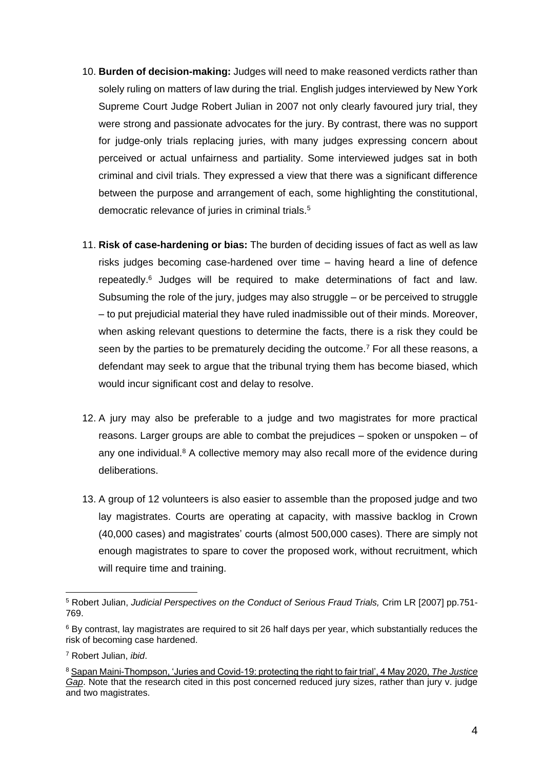- 10. **Burden of decision-making:** Judges will need to make reasoned verdicts rather than solely ruling on matters of law during the trial. English judges interviewed by New York Supreme Court Judge Robert Julian in 2007 not only clearly favoured jury trial, they were strong and passionate advocates for the jury. By contrast, there was no support for judge-only trials replacing juries, with many judges expressing concern about perceived or actual unfairness and partiality. Some interviewed judges sat in both criminal and civil trials. They expressed a view that there was a significant difference between the purpose and arrangement of each, some highlighting the constitutional, democratic relevance of juries in criminal trials.<sup>5</sup>
- 11. **Risk of case-hardening or bias:** The burden of deciding issues of fact as well as law risks judges becoming case-hardened over time – having heard a line of defence repeatedly. <sup>6</sup> Judges will be required to make determinations of fact and law. Subsuming the role of the jury, judges may also struggle – or be perceived to struggle – to put prejudicial material they have ruled inadmissible out of their minds. Moreover, when asking relevant questions to determine the facts, there is a risk they could be seen by the parties to be prematurely deciding the outcome.<sup>7</sup> For all these reasons, a defendant may seek to argue that the tribunal trying them has become biased, which would incur significant cost and delay to resolve.
- 12. A jury may also be preferable to a judge and two magistrates for more practical reasons. Larger groups are able to combat the prejudices – spoken or unspoken – of any one individual.<sup>8</sup> A collective memory may also recall more of the evidence during deliberations.
- 13. A group of 12 volunteers is also easier to assemble than the proposed judge and two lay magistrates. Courts are operating at capacity, with massive backlog in Crown (40,000 cases) and magistrates' courts (almost 500,000 cases). There are simply not enough magistrates to spare to cover the proposed work, without recruitment, which will require time and training.

<sup>5</sup> Robert Julian, *Judicial Perspectives on the Conduct of Serious Fraud Trials,* Crim LR [2007] pp.751- 769.

<sup>6</sup> By contrast, lay magistrates are required to sit 26 half days per year, which substantially reduces the risk of becoming case hardened.

<sup>7</sup> Robert Julian, *ibid*.

<sup>8</sup> Sapan [Maini-Thompson, 'Juries and Covid-19: protecting the right to fair trial', 4 May 2020,](https://www.thejusticegap.com/juries-and-covid-19-protecting-the-right-to-a-fair-trial/) *The Justice [Gap](https://www.thejusticegap.com/juries-and-covid-19-protecting-the-right-to-a-fair-trial/)*. Note that the research cited in this post concerned reduced jury sizes, rather than jury v. judge and two magistrates.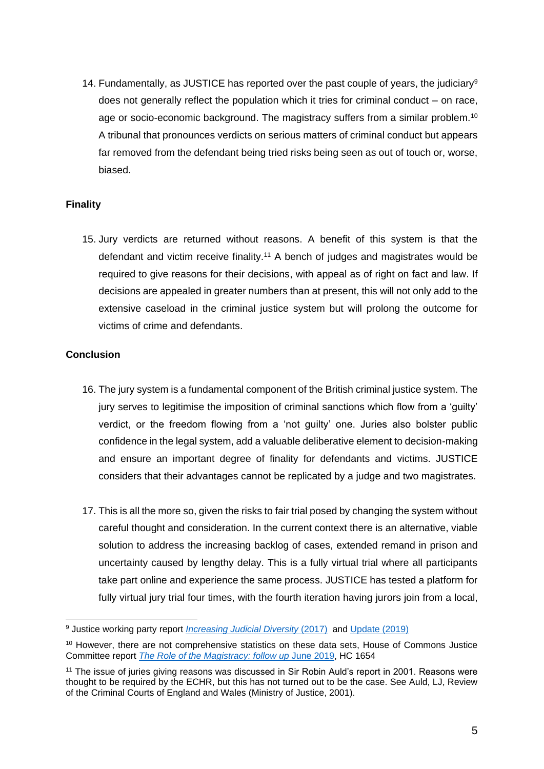14. Fundamentally, as JUSTICE has reported over the past couple of years, the judiciary<sup>9</sup> does not generally reflect the population which it tries for criminal conduct – on race, age or socio-economic background. The magistracy suffers from a similar problem.<sup>10</sup> A tribunal that pronounces verdicts on serious matters of criminal conduct but appears far removed from the defendant being tried risks being seen as out of touch or, worse, biased.

### **Finality**

15. Jury verdicts are returned without reasons. A benefit of this system is that the defendant and victim receive finality.<sup>11</sup> A bench of judges and magistrates would be required to give reasons for their decisions, with appeal as of right on fact and law. If decisions are appealed in greater numbers than at present, this will not only add to the extensive caseload in the criminal justice system but will prolong the outcome for victims of crime and defendants.

### **Conclusion**

- 16. The jury system is a fundamental component of the British criminal justice system. The jury serves to legitimise the imposition of criminal sanctions which flow from a 'guilty' verdict, or the freedom flowing from a 'not guilty' one. Juries also bolster public confidence in the legal system, add a valuable deliberative element to decision-making and ensure an important degree of finality for defendants and victims. JUSTICE considers that their advantages cannot be replicated by a judge and two magistrates.
- 17. This is all the more so, given the risks to fair trial posed by changing the system without careful thought and consideration. In the current context there is an alternative, viable solution to address the increasing backlog of cases, extended remand in prison and uncertainty caused by lengthy delay. This is a fully virtual trial where all participants take part online and experience the same process. JUSTICE has tested a platform for fully virtual jury trial four times, with the fourth iteration having jurors join from a local.

<sup>&</sup>lt;sup>9</sup> Justice working party report *Increasing Judicial Diversity* (2017) and [Update \(2019\)](https://justice.org.uk/wp-content/uploads/flipbook/21/book.html)

<sup>&</sup>lt;sup>10</sup> However, there are not comprehensive statistics on these data sets. House of Commons Justice Committee report *[The Role of the Magistracy: follow up](https://publications.parliament.uk/pa/cm201719/cmselect/cmjust/1654/1654.pdf)* June 2019, HC 1654

<sup>&</sup>lt;sup>11</sup> The issue of juries giving reasons was discussed in Sir Robin Auld's report in 2001. Reasons were thought to be required by the ECHR, but this has not turned out to be the case. See Auld, LJ, Review of the Criminal Courts of England and Wales (Ministry of Justice, 2001).